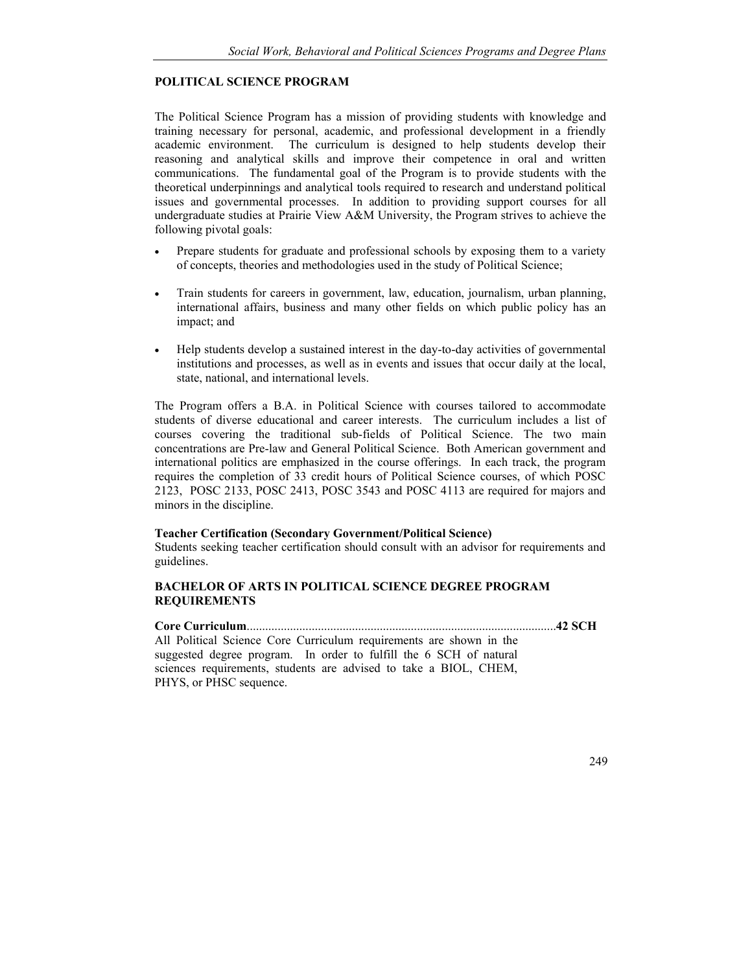## **POLITICAL SCIENCE PROGRAM**

The Political Science Program has a mission of providing students with knowledge and training necessary for personal, academic, and professional development in a friendly academic environment. The curriculum is designed to help students develop their reasoning and analytical skills and improve their competence in oral and written communications. The fundamental goal of the Program is to provide students with the theoretical underpinnings and analytical tools required to research and understand political issues and governmental processes. In addition to providing support courses for all undergraduate studies at Prairie View A&M University, the Program strives to achieve the following pivotal goals:

- ! Prepare students for graduate and professional schools by exposing them to a variety of concepts, theories and methodologies used in the study of Political Science;
- ! Train students for careers in government, law, education, journalism, urban planning, international affairs, business and many other fields on which public policy has an impact; and
- ! Help students develop a sustained interest in the day-to-day activities of governmental institutions and processes, as well as in events and issues that occur daily at the local, state, national, and international levels.

The Program offers a B.A. in Political Science with courses tailored to accommodate students of diverse educational and career interests. The curriculum includes a list of courses covering the traditional sub-fields of Political Science. The two main concentrations are Pre-law and General Political Science. Both American government and international politics are emphasized in the course offerings. In each track, the program requires the completion of 33 credit hours of Political Science courses, of which POSC 2123, POSC 2133, POSC 2413, POSC 3543 and POSC 4113 are required for majors and minors in the discipline.

## **Teacher Certification (Secondary Government/Political Science)**

Students seeking teacher certification should consult with an advisor for requirements and guidelines.

## **BACHELOR OF ARTS IN POLITICAL SCIENCE DEGREE PROGRAM REQUIREMENTS**

**Core Curriculum** .................................................................................................... **42 SCH**  All Political Science Core Curriculum requirements are shown in the suggested degree program. In order to fulfill the 6 SCH of natural sciences requirements, students are advised to take a BIOL, CHEM, PHYS, or PHSC sequence.

249